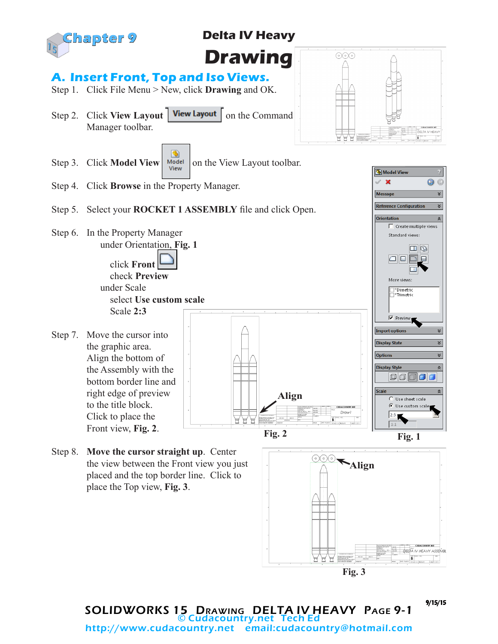

## **Delta IV Heavy**

**Drawing** 

## **A. Insert Front, Top and Iso Views.**

- Step 1. Click File Menu > New, click **Drawing** and OK.
- Step 2. Click **View Layout** | View Layout | on the Command Manager toolbar.



Model View  $\mathbf x$ 

Reference Configura

Message

C

×

 $\frac{1}{2}$  $\overline{\mathbf{r}}$ 

 $\frac{1}{2}$ ×

 $\overline{\mathbf{x}}$ 

 $\hat{\mathbb{X}}$ 

- G Step 3. Click **Model View**  $\begin{array}{|c|c|c|}\n\hline\n\text{Model} & \text{Model} \\
\hline\n\text{View} & \text{Output} \\
\hline\n\text{View} & \text{Output} \\
\hline\n\end{array}$
- Step 4. Click **Browse** in the Property Manager.

#### Step 5. Select your **ROCKET 1 ASSEMBLY** file and click Open.

- Step 6. In the Property Manager under Orientation, **Fig. 1** click **Front**  check **Preview** under Scale select **Use custom scale** Scale **2:3**
- Step 7. Move the cursor into the graphic area. Align the bottom of the Assembly with the bottom border line and right edge of preview to the title block. Click to place the Front view, **Fig. 2**.
- $\Box$  Create multiple views Standard views:  $\Box$ anne Œ More views: \_<br>\_}\*Dimetric<br>\_}\*Trimetric  $\overline{\triangledown}$  Preview **Import options Display State Options Display Style BBB** Scale **Align** Use sheet scale  $\bullet$  Use custom scale Draw i  $2:3$  $\boxed{1:}$ **Fig. 2 Fig. 1**
- Step 8. **Move the cursor straight up**. Center the view between the Front view you just placed and the top border line. Click to place the Top view, **Fig. 3**.



SOLIDWORKS 15 Drawing DELTA IV HEAVY Page 9-1 © Cudacountry.net Tech Ed http://www.cudacountry.net email:cudacountry@hotmail.com

9/15/15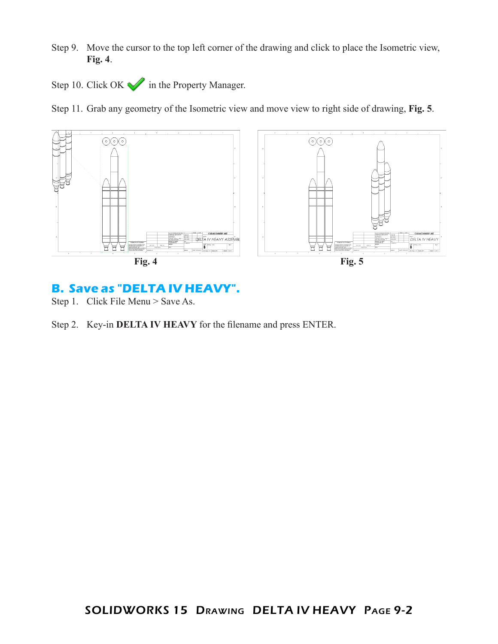- Step 9. Move the cursor to the top left corner of the drawing and click to place the Isometric view, **Fig. 4**.
- Step 10. Click OK in the Property Manager.

Step 11. Grab any geometry of the Isometric view and move view to right side of drawing, **Fig. 5**.



### **B. Save as "DELTA IV HEAVY".**

Step 1. Click File Menu > Save As.

Step 2. Key-in **DELTA IV HEAVY** for the filename and press ENTER.